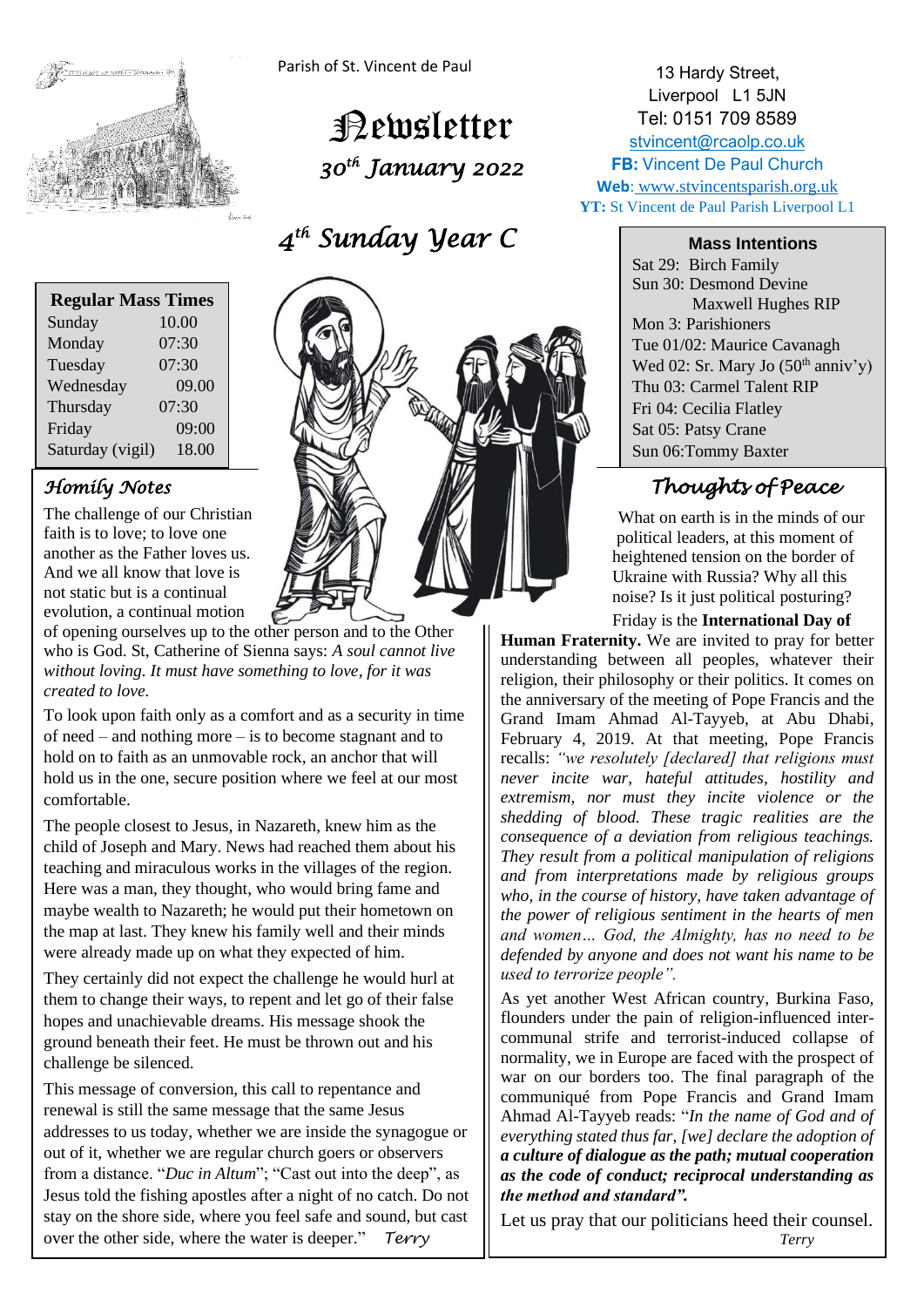

Parish of St. Vincent de Paul

 Newsletter  *30th January 2022* 

 *4 th Sunday Year C* 

| <b>Regular Mass Times</b> |       |
|---------------------------|-------|
| Sunday                    | 10.00 |
| Monday                    | 07:30 |
| Tuesday                   | 07:30 |
| Wednesday                 | 09.00 |
| Thursday                  | 07:30 |
| Friday                    | 09:00 |
| Saturday (vigil)          | 18.00 |

## *Homily Notes*

The challenge of our Christian faith is to love; to love one another as the Father loves us. And we all know that love is not static but is a continual evolution, a continual motion



of opening ourselves up to the other person and to the Other who is God. St, Catherine of Sienna says: *A soul cannot live without loving. It must have something to love, for it was created to love.*

To look upon faith only as a comfort and as a security in time of need – and nothing more – is to become stagnant and to hold on to faith as an unmovable rock, an anchor that will hold us in the one, secure position where we feel at our most comfortable.

The people closest to Jesus, in Nazareth, knew him as the child of Joseph and Mary. News had reached them about his teaching and miraculous works in the villages of the region. Here was a man, they thought, who would bring fame and maybe wealth to Nazareth; he would put their hometown on the map at last. They knew his family well and their minds were already made up on what they expected of him.

They certainly did not expect the challenge he would hurl at them to change their ways, to repent and let go of their false hopes and unachievable dreams. His message shook the ground beneath their feet. He must be thrown out and his challenge be silenced.

This message of conversion, this call to repentance and renewal is still the same message that the same Jesus addresses to us today, whether we are inside the synagogue or out of it, whether we are regular church goers or observers from a distance. "*Duc in Altum*"; "Cast out into the deep", as Jesus told the fishing apostles after a night of no catch. Do not stay on the shore side, where you feel safe and sound, but cast over the other side, where the water is deeper." *Terry*

13 Hardy Street, Liverpool L1 5JN Tel: 0151 709 8589 [stvincent@rcaolp.co.uk](mailto:stvincent@rcaolp.co.uk) **FB: Vincent De Paul Church Web**: www.stvincentsparish.org.uk **YT:** St Vincent de Paul Parish Liverpool L1

**Mass Intentions**

Sat 29: Birch Family Sun 30: Desmond Devine Maxwell Hughes RIP Mon 3: Parishioners Tue 01/02: Maurice Cavanagh Wed 02: Sr. Mary Jo  $(50<sup>th</sup> anniv'y)$ Thu 03: Carmel Talent RIP Fri 04: Cecilia Flatley Sat 05: Patsy Crane Sun 06:Tommy Baxter

# *Thoughts of Peace*

What on earth is in the minds of our political leaders, at this moment of heightened tension on the border of Ukraine with Russia? Why all this noise? Is it just political posturing?

Friday is the **International Day of** 

**Human Fraternity.** We are invited to pray for better understanding between all peoples, whatever their religion, their philosophy or their politics. It comes on the anniversary of the meeting of Pope Francis and the Grand Imam Ahmad Al-Tayyeb, at Abu Dhabi, February 4, 2019. At that meeting, Pope Francis recalls: *"we resolutely [declared] that religions must never incite war, hateful attitudes, hostility and extremism, nor must they incite violence or the shedding of blood. These tragic realities are the consequence of a deviation from religious teachings. They result from a political manipulation of religions and from interpretations made by religious groups who, in the course of history, have taken advantage of the power of religious sentiment in the hearts of men and women… God, the Almighty, has no need to be defended by anyone and does not want his name to be used to terrorize people".*

As yet another West African country, Burkina Faso, flounders under the pain of religion-influenced intercommunal strife and terrorist-induced collapse of normality, we in Europe are faced with the prospect of war on our borders too. The final paragraph of the communiqué from Pope Francis and Grand Imam Ahmad Al-Tayyeb reads: "*In the name of God and of everything stated thus far, [we] declare the adoption of a culture of dialogue as the path; mutual cooperation as the code of conduct; reciprocal understanding as the method and standard".*

Let us pray that our politicians heed their counsel. *Terry*